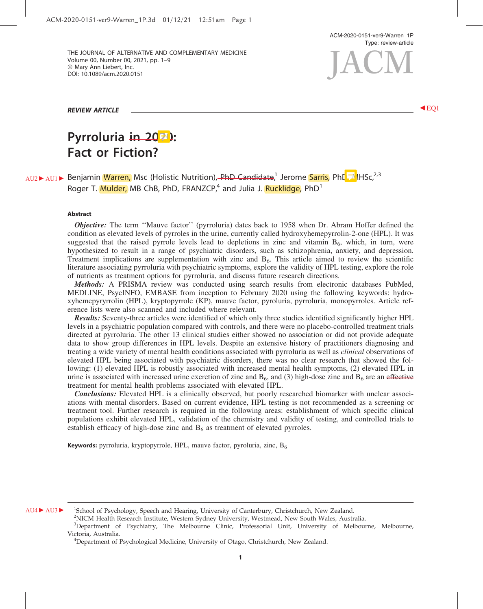ACM-2020-0151-ver9-Warren\_1P Type: review-article

THE JOURNAL OF ALTERNATIVE AND COMPLEMENTARY MEDICINE Volume 00, Number 00, 2021, pp. 1–9 © Mary Ann Liebert, Inc. DOI: 10.1089/acm.2020.0151 E JOURNAL OF ALTERNATIVE AND COMPLEMENTARY MEDICINE<br>Iume 00, Number 00, 2021, pp. 1–9<br>Mary Ann Liebert, Inc. (10.1089/acm.2020.0151

REVIEW ARTICLE <sup>b</sup> EQ1

# Pyrroluria in 2021: Fact or Fiction?

AU2 AU1 **C Benjamin Warren, Msc (Holistic Nutrition), PhD Candidate**,<sup>1</sup> Jerome Sarris, PhD, MHSc,<sup>2,3</sup> Roger T. Mulder, MB ChB, PhD, FRANZCP,<sup>4</sup> and Julia J. Rucklidge, PhD<sup>1</sup>

#### Abstract

**Objective:** The term "Mauve factor" (pyrroluria) dates back to 1958 when Dr. Abram Hoffer defined the condition as elevated levels of pyrroles in the urine, currently called hydroxyhemepyrrolin-2-one (HPL). It was suggested that the raised pyrrole levels lead to depletions in zinc and vitamin  $B_6$ , which, in turn, were hypothesized to result in a range of psychiatric disorders, such as schizophrenia, anxiety, and depression. Treatment implications are supplementation with zinc and  $B<sub>6</sub>$ . This article aimed to review the scientific literature associating pyrroluria with psychiatric symptoms, explore the validity of HPL testing, explore the role of nutrients as treatment options for pyrroluria, and discuss future research directions.

Methods: A PRISMA review was conducted using search results from electronic databases PubMed, MEDLINE, PsycINFO, EMBASE from inception to February 2020 using the following keywords: hydroxyhemepyryrrolin (HPL), kryptopyrrole (KP), mauve factor, pyroluria, pyrroluria, monopyrroles. Article reference lists were also scanned and included where relevant.

Results: Seventy-three articles were identified of which only three studies identified significantly higher HPL levels in a psychiatric population compared with controls, and there were no placebo-controlled treatment trials directed at pyrroluria. The other 13 clinical studies either showed no association or did not provide adequate data to show group differences in HPL levels. Despite an extensive history of practitioners diagnosing and treating a wide variety of mental health conditions associated with pyrroluria as well as *clinical* observations of elevated HPL being associated with psychiatric disorders, there was no clear research that showed the following: (1) elevated HPL is robustly associated with increased mental health symptoms, (2) elevated HPL in urine is associated with increased urine excretion of zinc and  $B_6$ , and (3) high-dose zinc and  $B_6$  are an effective treatment for mental health problems associated with elevated HPL.

**Conclusions:** Elevated HPL is a clinically observed, but poorly researched biomarker with unclear associations with mental disorders. Based on current evidence, HPL testing is not recommended as a screening or treatment tool. Further research is required in the following areas: establishment of which specific clinical populations exhibit elevated HPL, validation of the chemistry and validity of testing, and controlled trials to establish efficacy of high-dose zinc and  $B_6$  as treatment of elevated pyrroles.

**Keywords:** pyrroluria, kryptopyrrole, HPL, mauve factor, pyroluria, zinc,  $B_6$ 

AU4 AU3 <sup>c</sup> School of Psychology, Speech and Hearing, University of Canterbury, Christchurch, New Zealand.

<sup>2</sup>NICM Health Research Institute, Western Sydney University, Westmead, New South Wales, Australia.

<sup>&</sup>lt;sup>3</sup>Department of Psychiatry, The Melbourne Clinic, Professorial Unit, University of Melbourne, Melbourne, Victoria, Australia. <sup>4</sup>

 $P^4$ Department of Psychological Medicine, University of Otago, Christchurch, New Zealand.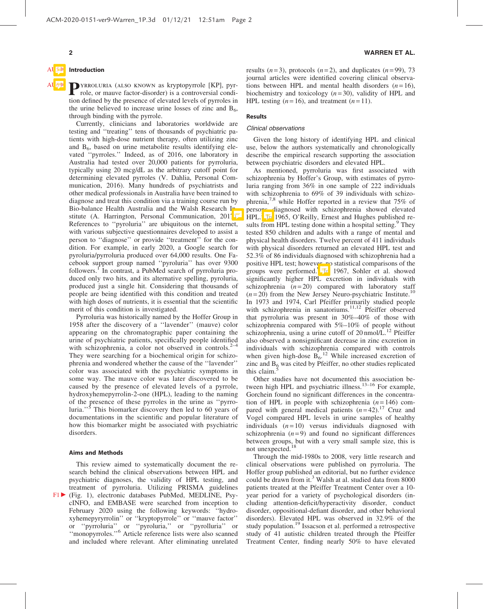# **Introduction**

AUGE PYRROLURIA (ALSO KNOWN as kryptopyrrole [KP], pyr-<br>role, or mauve factor-disorder) is a controversial condition defined by the presence of elevated levels of pyrroles in the urine believed to increase urine losses of zinc and  $B_6$ , through binding with the pyrrole.

> Currently, clinicians and laboratories worldwide are testing and ''treating'' tens of thousands of psychiatric patients with high-dose nutrient therapy, often utilizing zinc and  $B_6$ , based on urine metabolite results identifying elevated ''pyrroles.'' Indeed, as of 2016, one laboratory in Australia had tested over 20,000 patients for pyrroluria, typically using 20 mcg/dL as the arbitrary cutoff point for determining elevated pyrroles (V. Dahlia, Personal Communication, 2016). Many hundreds of psychiatrists and other medical professionals in Australia have been trained to diagnose and treat this condition via a training course run by Bio-balance Health Australia and the Walsh Research In stitute (A. Harrington, Personal Communication, 2017). References to ''pyroluria'' are ubiquitous on the internet, with various subjective questionnaires developed to assist a person to ''diagnose'' or provide ''treatment'' for the condition. For example, in early 2020, a Google search for pyroluria/pyrroluria produced over 64,000 results. One Facebook support group named ''pyroluria'' has over 9300 followers.<sup>1</sup> In contrast, a PubMed search of pyrroluria produced only two hits, and its alternative spelling, pyroluria, produced just a single hit. Considering that thousands of people are being identified with this condition and treated with high doses of nutrients, it is essential that the scientific merit of this condition is investigated.

> Pyrroluria was historically named by the Hoffer Group in 1958 after the discovery of a ''lavender'' (mauve) color appearing on the chromatographic paper containing the urine of psychiatric patients, specifically people identified with schizophrenia, a color not observed in controls. $2-4$ They were searching for a biochemical origin for schizophrenia and wondered whether the cause of the ''lavender'' color was associated with the psychiatric symptoms in some way. The mauve color was later discovered to be caused by the presence of elevated levels of a pyrrole, hydroxyhemepyrrolin-2-one (HPL), leading to the naming of the presence of these pyrroles in the urine as ''pyrroluria."<sup>5</sup> This biomarker discovery then led to 60 years of documentations in the scientific and popular literature of how this biomarker might be associated with psychiatric disorders.

#### Aims and Methods

This review aimed to systematically document the research behind the clinical observations between HPL and psychiatric diagnoses, the validity of HPL testing, and treatment of pyrroluria. Utilizing PRISMA guidelines  $F1 \triangleright$  (Fig. 1), electronic databases PubMed, MEDLINE, PsycINFO, and EMBASE were searched from inception to February 2020 using the following keywords: ''hydroxyhemepyryrrolin'' or ''kryptopyrrole'' or ''mauve factor'' or ''pyrroluria'' or ''pyroluria,'' or ''pyrolluria'' or ''monopyrroles.''<sup>6</sup> Article reference lists were also scanned and included where relevant. After eliminating unrelated results  $(n=3)$ , protocols  $(n=2)$ , and duplicates  $(n=99)$ , 73 journal articles were identified covering clinical observations between HPL and mental health disorders  $(n=16)$ , biochemistry and toxicology (*n* = 30), validity of HPL and HPL testing  $(n=16)$ , and treatment  $(n=11)$ .

#### Results

### Clinical observations

Given the long history of identifying HPL and clinical use, below the authors systematically and chronologically describe the empirical research supporting the association between psychiatric disorders and elevated HPL.

As mentioned, pyrroluria was first associated with schizophrenia by Hoffer's Group, with estimates of pyrroluria ranging from 36% in one sample of 222 individuals with schizophrenia to 69% of 39 individuals with schizophrenia,<sup>7,8</sup> while Hoffer reported in a review that  $75\%$  of persons diagnosed with schizophrenia showed elevated HPL.<sup>3</sup> In 1965, O'Reilly, Ernest and Hughes published results from HPL testing done within a hospital setting.<sup>9</sup> They tested 850 children and adults with a range of mental and physical health disorders. Twelve percent of 411 individuals with physical disorders returned an elevated HPL test and 52.3% of 86 individuals diagnosed with schizophrenia had a positive HPL test; however, no statistical comparisons of the groups were performed.<sup>1</sup> In 1967, Sohler et al. showed significantly higher HPL excretion in individuals with schizophrenia  $(n=20)$  compared with laboratory staff  $(n=20)$  from the New Jersey Neuro-psychiatric Institute.<sup>10</sup> In 1973 and 1974, Carl Pfeiffer primarily studied people with schizophrenia in sanatoriums.<sup>11,12</sup> Pfeiffer observed that pyrroluria was present in 30%–40% of those with schizophrenia compared with 5%–10% of people without schizophrenia, using a urine cutoff of  $20 \text{ nmol/L}$ .<sup>12</sup> Pfeiffer also observed a nonsignificant decrease in zinc excretion in individuals with schizophrenia compared with controls when given high-dose  $B_6$ .<sup>12</sup> While increased excretion of zinc and  $B_6$  was cited by Pfeiffer, no other studies replicated this claim.

Other studies have not documented this association between high HPL and psychiatric illness.<sup>13–16</sup> For example, Gorchein found no significant differences in the concentration of HPL in people with schizophrenia  $(n=146)$  compared with general medical patients  $(n=42)$ .<sup>17</sup> Cruz and Vogel compared HPL levels in urine samples of healthy individuals  $(n = 10)$  versus individuals diagnosed with schizophrenia  $(n=9)$  and found no significant differences between groups, but with a very small sample size, this is not unexpected.<sup>18</sup>

Through the mid-1980s to 2008, very little research and clinical observations were published on pyrroluria. The Hoffer group published an editorial, but no further evidence could be drawn from it.<sup>3</sup> Walsh at al. studied data from 8000 patients treated at the Pfeiffer Treatment Center over a 10 year period for a variety of psychological disorders (including attention-deficit/hyperactivity disorder, conduct disorder, oppositional-defiant disorder, and other behavioral disorders). Elevated HPL was observed in 32.9% of the study population.<sup>19</sup> Issacson et al. performed a retrospective study of 41 autistic children treated through the Pfeiffer Treatment Center, finding nearly 50% to have elevated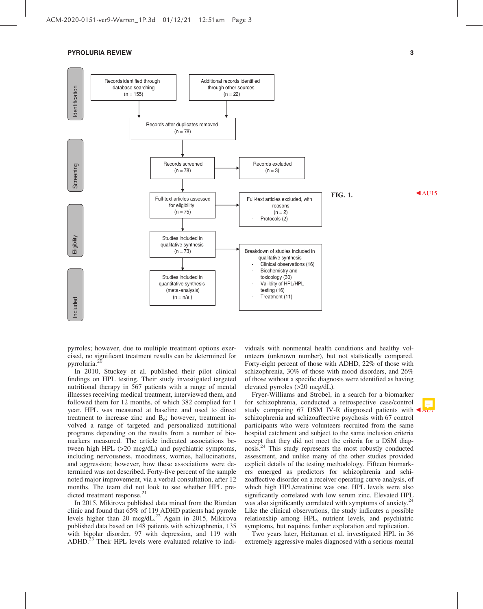

pyrroles; however, due to multiple treatment options exercised, no significant treatment results can be determined for pyrroluria.<sup>2</sup>

In 2010, Stuckey et al. published their pilot clinical findings on HPL testing. Their study investigated targeted nutritional therapy in 567 patients with a range of mental illnesses receiving medical treatment, interviewed them, and followed them for 12 months, of which 382 complied for 1 year. HPL was measured at baseline and used to direct treatment to increase zinc and  $B_6$ ; however, treatment involved a range of targeted and personalized nutritional programs depending on the results from a number of biomarkers measured. The article indicated associations between high HPL (>20 mcg/dL) and psychiatric symptoms, including nervousness, moodiness, worries, hallucinations, and aggression; however, how these associations were determined was not described. Forty-five percent of the sample noted major improvement, via a verbal consultation, after 12 months. The team did not look to see whether HPL predicted treatment response.<sup>21</sup>

In 2015, Mikirova published data mined from the Riordan clinic and found that 65% of 119 ADHD patients had pyrrole levels higher than 20 mcg/dL.<sup>22</sup> Again in 2015, Mikirova published data based on 148 patients with schizophrenia, 135 with bipolar disorder, 97 with depression, and 119 with ADHD.<sup>23</sup> Their HPL levels were evaluated relative to individuals with nonmental health conditions and healthy volunteers (unknown number), but not statistically compared. Forty-eight percent of those with ADHD, 22% of those with schizophrenia, 30% of those with mood disorders, and 26% of those without a specific diagnosis were identified as having elevated pyrroles (>20 mcg/dL).

Fryer-Williams and Strobel, in a search for a biomarker for schizophrenia, conducted a retrospective case/control study comparing 67 DSM IV-R diagnosed patients with  $\triangle$ schizophrenia and schizoaffective psychosis with 67 control participants who were volunteers recruited from the same hospital catchment and subject to the same inclusion criteria except that they did not meet the criteria for a DSM diagnosis.24 This study represents the most robustly conducted assessment, and unlike many of the other studies provided explicit details of the testing methodology. Fifteen biomarkers emerged as predictors for schizophrenia and schizoaffective disorder on a receiver operating curve analysis, of which high HPL/creatinine was one. HPL levels were also significantly correlated with low serum zinc. Elevated HPL was also significantly correlated with symptoms of anxiety.<sup>24</sup> Like the clinical observations, the study indicates a possible relationship among HPL, nutrient levels, and psychiatric symptoms, but requires further exploration and replication.

Two years later, Heitzman et al. investigated HPL in 36 extremely aggressive males diagnosed with a serious mental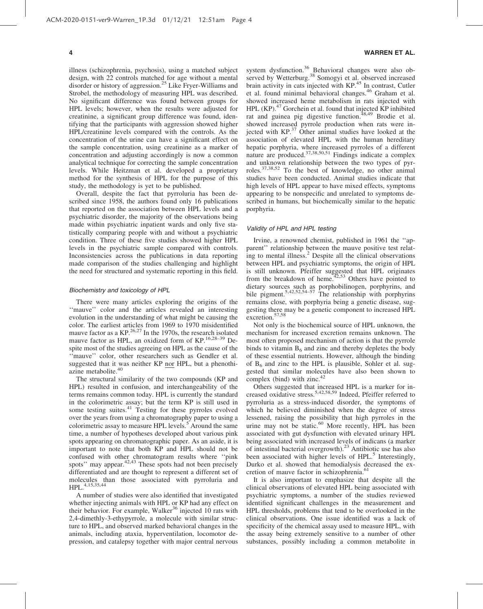illness (schizophrenia, psychosis), using a matched subject design, with 22 controls matched for age without a mental disorder or history of aggression.<sup>25</sup> Like Fryer-Williams and Strobel, the methodology of measuring HPL was described. No significant difference was found between groups for HPL levels; however, when the results were adjusted for creatinine, a significant group difference was found, identifying that the participants with aggression showed higher HPL/creatinine levels compared with the controls. As the concentration of the urine can have a significant effect on the sample concentration, using creatinine as a marker of concentration and adjusting accordingly is now a common analytical technique for correcting the sample concentration levels. While Heitzman et al. developed a proprietary method for the synthesis of HPL for the purpose of this study, the methodology is yet to be published.

Overall, despite the fact that pyrroluria has been described since 1958, the authors found only 16 publications that reported on the association between HPL levels and a psychiatric disorder, the majority of the observations being made within psychiatric inpatient wards and only five statistically comparing people with and without a psychiatric condition. Three of these five studies showed higher HPL levels in the psychiatric sample compared with controls. Inconsistencies across the publications in data reporting made comparison of the studies challenging and highlight the need for structured and systematic reporting in this field.

#### Biochemistry and toxicology of HPL

There were many articles exploring the origins of the "mauve" color and the articles revealed an interesting evolution in the understanding of what might be causing the color. The earliest articles from 1969 to 1970 misidentified mauve factor as a  $KP^{26,27}$  In the 1970s, the research isolated mauve factor as HPL, an oxidized form of KP.<sup>16,28-39</sup> Despite most of the studies agreeing on HPL as the cause of the "mauve" color, other researchers such as Gendler et al. suggested that it was neither KP nor HPL, but a phenothiazine metabolite.<sup>40</sup>

The structural similarity of the two compounds (KP and HPL) resulted in confusion, and interchangeability of the terms remains common today. HPL is currently the standard in the colorimetric assay; but the term KP is still used in some testing suites.<sup>41</sup> Testing for these pyrroles evolved over the years from using a chromatography paper to using a colorimetric assay to measure HPL levels.<sup>5</sup> Around the same time, a number of hypotheses developed about various pink spots appearing on chromatographic paper. As an aside, it is important to note that both KP and HPL should not be confused with other chromatogram results where ''pink spots'' may appear. $42,43$  These spots had not been precisely differentiated and are thought to represent a different set of molecules than those associated with pyrroluria and HPL.4,15,35,44

A number of studies were also identified that investigated whether injecting animals with HPL or KP had any effect on their behavior. For example, Walker<sup>36</sup> injected 10 rats with 2,4-dimethly-3-ethypyrrole, a molecule with similar structure to HPL, and observed marked behavioral changes in the animals, including ataxia, hyperventilation, locomotor depression, and catalepsy together with major central nervous

#### 4 WARREN ET AL.

system dysfunction.<sup>36</sup> Behavioral changes were also observed by Wetterburg.<sup>38</sup> Somogyi et al. observed increased brain activity in cats injected with KP.<sup>45</sup> In contrast, Cutler et al. found minimal behavioral changes.<sup>46</sup> Graham et al. showed increased heme metabolism in rats injected with HPL (KP).<sup>47</sup> Gorchein et al. found that injected KP inhibited rat and guinea pig digestive function.<sup>48,49</sup> Brodie et al. showed increased pyrrole production when rats were injected with  $KP^{37}$  Other animal studies have looked at the association of elevated HPL with the human hereditary hepatic porphyria, where increased pyrroles of a different nature are produced.<sup>37,38,50,51</sup> Findings indicate a complex and unknown relationship between the two types of pyrroles.<sup>37,38,52</sup> To the best of knowledge, no other animal studies have been conducted. Animal studies indicate that high levels of HPL appear to have mixed effects, symptoms appearing to be nonspecific and unrelated to symptoms described in humans, but biochemically similar to the hepatic porphyria.

#### Validity of HPL and HPL testing

Irvine, a renowned chemist, published in 1961 the ''apparent'' relationship between the mauve positive test relating to mental illness.<sup>2</sup> Despite all the clinical observations between HPL and psychiatric symptoms, the origin of HPL is still unknown. Pfeiffer suggested that HPL originates from the breakdown of heme.<sup>42,53</sup> Others have pointed to dietary sources such as porphobilinogen, porphyrins, and bile pigment.<sup>5,42,52,54–57</sup> The relationship with porphyrins remains close, with porphyria being a genetic disease, suggesting there may be a genetic component to increased HPL excretion.57,58

Not only is the biochemical source of HPL unknown, the mechanism for increased excretion remains unknown. The most often proposed mechanism of action is that the pyrrole binds to vitamin  $B_6$  and zinc and thereby depletes the body of these essential nutrients. However, although the binding of  $B_6$  and zinc to the HPL is plausible, Sohler et al. suggested that similar molecules have also been shown to complex (bind) with zinc. $42$ 

Others suggested that increased HPL is a marker for increased oxidative stress.<sup>5,42,58,59</sup> Indeed, Pfeiffer referred to pyrroluria as a stress-induced disorder, the symptoms of which he believed diminished when the degree of stress lessened, raising the possibility that high pyrroles in the urine may not be static. $60$  More recently, HPL has been associated with gut dysfunction with elevated urinary HPL being associated with increased levels of indicans (a marker of intestinal bacterial overgrowth).<sup>23</sup> Antibiotic use has also been associated with higher levels of HPL.<sup>5</sup> Interestingly, Durko et al. showed that hemodialysis decreased the excretion of mauve factor in schizophrenia.<sup>6</sup>

It is also important to emphasize that despite all the clinical observations of elevated HPL being associated with psychiatric symptoms, a number of the studies reviewed identified significant challenges in the measurement and HPL thresholds, problems that tend to be overlooked in the clinical observations. One issue identified was a lack of specificity of the chemical assay used to measure HPL, with the assay being extremely sensitive to a number of other substances, possibly including a common metabolite in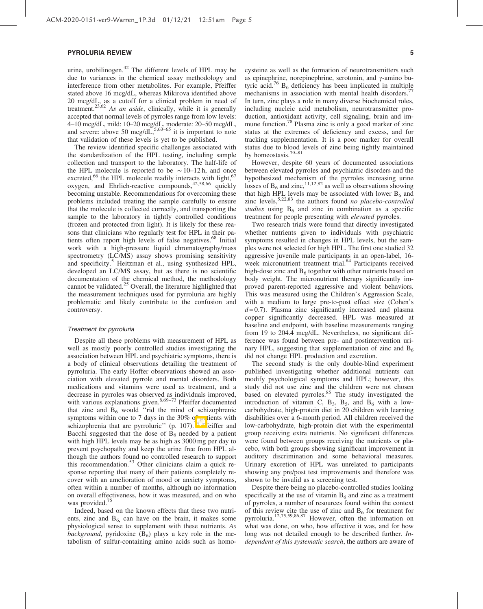urine, urobilinogen. $42$  The different levels of HPL may be due to variances in the chemical assay methodology and interference from other metabolites. For example, Pfeiffer stated above 16 mcg/dL, whereas Mikirova identified above 20 mcg/dL, as a cutoff for a clinical problem in need of treatment.23,62 *As an aside*, clinically, while it is generally accepted that normal levels of pyrroles range from low levels: 4–10 mcg/dL, mild: 10–20 mcg/dL, moderate: 20–50 mcg/dL, and severe: above 50 mcg/dL, $5,63-65$  it is important to note that validation of these levels is yet to be published.

The review identified specific challenges associated with the standardization of the HPL testing, including sample collection and transport to the laboratory. The half-life of the HPL molecule is reported to be  $\sim 10-12$  h, and once excreted, $66$  the HPL molecule readily interacts with light,  $67$ oxygen, and Ehrlich-reactive compounds, $42,58,66$  quickly becoming unstable. Recommendations for overcoming these problems included treating the sample carefully to ensure that the molecule is collected correctly, and transporting the sample to the laboratory in tightly controlled conditions (frozen and protected from light). It is likely for these reasons that clinicians who regularly test for HPL in their patients often report high levels of false negatives.<sup>68</sup> Initial work with a high-pressure liquid chromatography/mass spectrometry (LC/MS) assay shows promising sensitivity and specificity.<sup>5</sup> Heitzman et al., using synthesized HPL, developed an LC/MS assay, but as there is no scientific documentation of the chemical method, the methodology cannot be validated. $25$  Overall, the literature highlighted that the measurement techniques used for pyrroluria are highly problematic and likely contribute to the confusion and controversy.

#### Treatment for pyrroluria

Despite all these problems with measurement of HPL as well as mostly poorly controlled studies investigating the association between HPL and psychiatric symptoms, there is a body of clinical observations detailing the treatment of pyrroluria. The early Hoffer observations showed an association with elevated pyrrole and mental disorders. Both medications and vitamins were used as treatment, and a decrease in pyrroles was observed as individuals improved, with various explanations given.<sup>8,69-73</sup> Pfeiffer documented that zinc and  $\overline{B}_6$  would "rid the mind of schizophrenic symptoms within one to 7 days in the 30% of partients with schizophrenia that are pyrroluric'' (p. 107).<sup>14</sup> Peiffer and Bacchi suggested that the dose of  $\overrightarrow{B}_6$  needed by a patient with high HPL levels may be as high as 3000 mg per day to prevent psychopathy and keep the urine free from HPL although the authors found no controlled research to support this recommendation.<sup>53</sup> Other clinicians claim a quick response reporting that many of their patients completely recover with an amelioration of mood or anxiety symptoms, often within a number of months, although no information on overall effectiveness, how it was measured, and on who was provided.<sup>75</sup>

Indeed, based on the known effects that these two nutrients, zinc and  $B_6$  can have on the brain, it makes some physiological sense to supplement with these nutrients. *As background*, pyridoxine  $(B_6)$  plays a key role in the metabolism of sulfur-containing amino acids such as homocysteine as well as the formation of neurotransmitters such as epinephrine, norepinephrine, serotonin, and  $\gamma$ -amino butyric acid.<sup>76</sup>  $B_6$  deficiency has been implicated in multiple mechanisms in association with mental health disorders.<sup>7</sup> In turn, zinc plays a role in many diverse biochemical roles, including nucleic acid metabolism, neurotransmitter production, antioxidant activity, cell signaling, brain and immune function.<sup>78</sup> Plasma zinc is only a good marker of zinc status at the extremes of deficiency and excess, and for tracking supplementation. It is a poor marker for overall status due to blood levels of zinc being tightly maintained by homeostasis.79–81

However, despite 60 years of documented associations between elevated pyrroles and psychiatric disorders and the hypothesized mechanism of the pyrroles increasing urine losses of  $B_6$  and zinc,<sup>11,12,82</sup> as well as observations showing that high HPL levels may be associated with lower  $B_6$  and zinc levels,5,22,83 the authors found *no placebo-controlled studies* using  $B_6$  and zinc in combination as a specific treatment for people presenting with *elevated* pyrroles.

Two research trials were found that directly investigated whether nutrients given to individuals with psychiatric symptoms resulted in changes in HPL levels, but the samples were not selected for high HPL. The first one studied 32 aggressive juvenile male participants in an open-label, 16 week micronutrient treatment trial.<sup>84</sup> Participants received high-dose zinc and  $B_6$  together with other nutrients based on body weight. The micronutrient therapy significantly improved parent-reported aggressive and violent behaviors. This was measured using the Children's Aggression Scale, with a medium to large pre-to-post effect size (Cohen's  $d = 0.7$ ). Plasma zinc significantly increased and plasma copper significantly decreased. HPL was measured at baseline and endpoint, with baseline measurements ranging from 19 to 204.4 mcg/dL. Nevertheless, no significant difference was found between pre- and postintervention urinary HPL, suggesting that supplementation of zinc and  $B_6$ did not change HPL production and excretion.

The second study is the only double-blind experiment published investigating whether additional nutrients can modify psychological symptoms and HPL; however, this study did not use zinc and the children were not chosen based on elevated pyrroles.<sup>85</sup> The study investigated the introduction of vitamin C,  $B_3$ ,  $B_5$ , and  $B_6$  with a lowcarbohydrate, high-protein diet in 20 children with learning disabilities over a 6-month period. All children received the low-carbohydrate, high-protein diet with the experimental group receiving extra nutrients. No significant differences were found between groups receiving the nutrients or placebo, with both groups showing significant improvement in auditory discrimination and some behavioral measures. Urinary excretion of HPL was unrelated to participants showing any pre/post test improvements and therefore was shown to be invalid as a screening test.

Despite there being no placebo-controlled studies looking specifically at the use of vitamin  $B<sub>6</sub>$  and zinc as a treatment of pyrroles, a number of resources found within the context of this review cite the use of zinc and  $B_6$  for treatment for pyrroluria.12,75,59,86,87 However, often the information on what was done, on who, how effective it was, and for how long was not detailed enough to be described further. *Independent of this systematic search*, the authors are aware of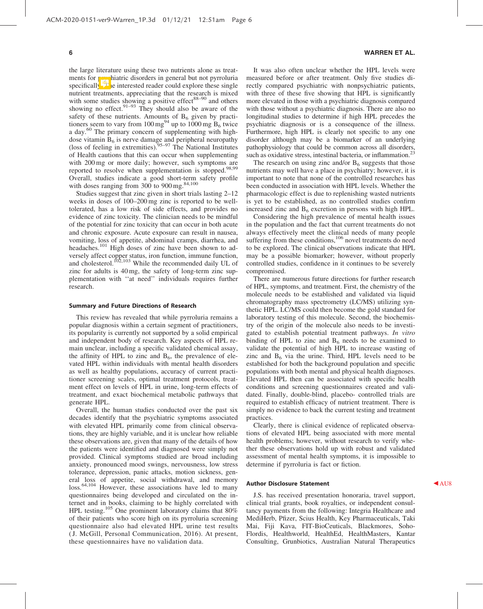the large literature using these two nutrients alone as treatments for psychiatric disorders in general but not pyrroluria specifically. The interested reader could explore these single nutrient treatments, appreciating that the research is mixed with some studies showing a positive effect $88-90$  and others showing no effect. $91-93$  They should also be aware of the safety of these nutrients. Amounts of  $B_6$  given by practitioners seem to vary from  $100 \text{ mg}^{94}$  up to  $1000 \text{ mg B}_6$  twice a day.<sup>60</sup> The primary concern of supplementing with highdose vitamin  $B_6$  is nerve damage and peripheral neuropathy (loss of feeling in extremities).<sup>95-97</sup> The National Institutes of Health cautions that this can occur when supplementing with 200 mg or more daily; however, such symptoms are reported to resolve when supplementation is stopped.98,99 Overall, studies indicate a good short-term safety profile with doses ranging from  $300$  to  $900$  mg.<sup>84,100</sup>

Studies suggest that zinc given in short trials lasting 2–12 weeks in doses of 100–200 mg zinc is reported to be welltolerated, has a low risk of side effects, and provides no evidence of zinc toxicity. The clinician needs to be mindful of the potential for zinc toxicity that can occur in both acute and chronic exposure. Acute exposure can result in nausea, vomiting, loss of appetite, abdominal cramps, diarrhea, and headaches.<sup>101</sup> High doses of zinc have been shown to adversely affect copper status, iron function, immune function, and cholesterol.<sup>102,103</sup> While the recommended daily UL of zinc for adults is 40 mg, the safety of long-term zinc supplementation with ''at need'' individuals requires further research.

#### Summary and Future Directions of Research

This review has revealed that while pyrroluria remains a popular diagnosis within a certain segment of practitioners, its popularity is currently not supported by a solid empirical and independent body of research. Key aspects of HPL remain unclear, including a specific validated chemical assay, the affinity of HPL to zinc and  $B_6$ , the prevalence of elevated HPL within individuals with mental health disorders as well as healthy populations, accuracy of current practitioner screening scales, optimal treatment protocols, treatment effect on levels of HPL in urine, long-term effects of treatment, and exact biochemical metabolic pathways that generate HPL.

Overall, the human studies conducted over the past six decades identify that the psychiatric symptoms associated with elevated HPL primarily come from clinical observations, they are highly variable, and it is unclear how reliable these observations are, given that many of the details of how the patients were identified and diagnosed were simply not provided. Clinical symptoms studied are broad including anxiety, pronounced mood swings, nervousness, low stress tolerance, depression, panic attacks, motion sickness, general loss of appetite, social withdrawal, and memory loss.<sup>64,104</sup> However, these associations have led to many questionnaires being developed and circulated on the internet and in books, claiming to be highly correlated with HPL testing.<sup>105</sup> One prominent laboratory claims that 80% of their patients who score high on its pyrroluria screening questionnaire also had elevated HPL urine test results ( J. McGill, Personal Communication, 2016). At present, these questionnaires have no validation data.

#### 6 WARREN ET AL.

It was also often unclear whether the HPL levels were measured before or after treatment. Only five studies directly compared psychiatric with nonpsychiatric patients, with three of these five showing that HPL is significantly more elevated in those with a psychiatric diagnosis compared with those without a psychiatric diagnosis. There are also no longitudinal studies to determine if high HPL precedes the psychiatric diagnosis or is a consequence of the illness. Furthermore, high HPL is clearly not specific to any one disorder although may be a biomarker of an underlying pathophysiology that could be common across all disorders, such as oxidative stress, intestinal bacteria, or inflammation.<sup>2</sup>

The research on using zinc and/or  $B_6$  suggests that those nutrients may well have a place in psychiatry; however, it is important to note that none of the controlled researches has been conducted in association with HPL levels. Whether the pharmacologic effect is due to replenishing wasted nutrients is yet to be established, as no controlled studies confirm increased zinc and  $B_6$  excretion in persons with high HPL.

Considering the high prevalence of mental health issues in the population and the fact that current treatments do not always effectively meet the clinical needs of many people suffering from these conditions,<sup>106</sup> novel treatments do need to be explored. The clinical observations indicate that HPL may be a possible biomarker; however, without properly controlled studies, confidence in it continues to be severely compromised.

There are numerous future directions for further research of HPL, symptoms, and treatment. First, the chemistry of the molecule needs to be established and validated via liquid chromatography mass spectrometry (LC/MS) utilizing synthetic HPL. LC/MS could then become the gold standard for laboratory testing of this molecule. Second, the biochemistry of the origin of the molecule also needs to be investigated to establish potential treatment pathways. *In vitro* binding of HPL to zinc and  $B<sub>6</sub>$  needs to be examined to validate the potential of high HPL to increase wasting of zinc and  $B_6$  via the urine. Third, HPL levels need to be established for both the background population and specific populations with both mental and physical health diagnoses. Elevated HPL then can be associated with specific health conditions and screening questionnaires created and validated. Finally, double-blind, placebo- controlled trials are required to establish efficacy of nutrient treatment. There is simply no evidence to back the current testing and treatment practices.

Clearly, there is clinical evidence of replicated observations of elevated HPL being associated with more mental health problems; however, without research to verify whether these observations hold up with robust and validated assessment of mental health symptoms, it is impossible to determine if pyrroluria is fact or fiction.

#### Author Disclosure Statement **AU8**

J.S. has received presentation honoraria, travel support, clinical trial grants, book royalties, or independent consultancy payments from the following: Integria Healthcare and MediHerb, Pfizer, Scius Health, Key Pharmaceuticals, Taki Mai, Fiji Kava, FIT-BioCeuticals, Blackmores, Soho-Flordis, Healthworld, HealthEd, HealthMasters, Kantar Consulting, Grunbiotics, Australian Natural Therapeutics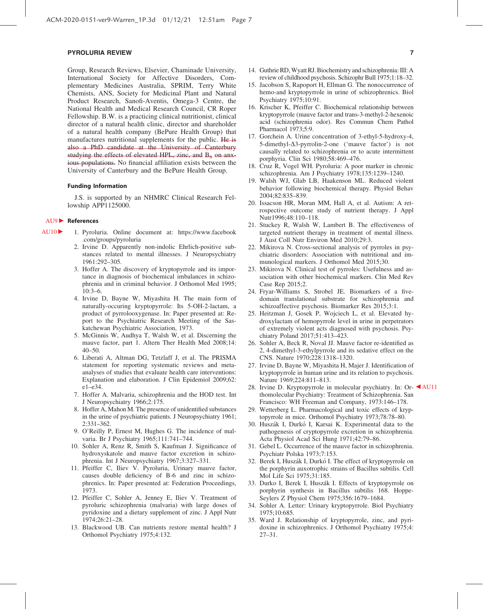Group, Research Reviews, Elsevier, Chaminade University, International Society for Affective Disorders, Complementary Medicines Australia, SPRIM, Terry White Chemists, ANS, Society for Medicinal Plant and Natural Product Research, Sanofi-Aventis, Omega-3 Centre, the National Health and Medical Research Council, CR Roper Fellowship. B.W. is a practicing clinical nutritionist, clinical director of a natural health clinic, director and shareholder of a natural health company (BePure Health Group) that manufactures nutritional supplements for the public. He is also a PhD candidate at the University of Canterbury studying the effects of elevated HPL, zinc, and  $B_6$  on anxious populations. No financial affiliation exists between the University of Canterbury and the BePure Health Group.

#### Funding Information

J.S. is supported by an NHMRC Clinical Research Fellowship APP1125000.

#### AU9 **C** References

- AU10 1. Pyroluria. Online document at: [https://www.facebook](https://www.facebook.com/groups/pyroluria) [.com/groups/pyroluria](https://www.facebook.com/groups/pyroluria)
	- 2. Irvine D. Apparently non-indolic Ehrlich-positive substances related to mental illnesses. J Neuropsychiatry 1961:292–305.
	- 3. Hoffer A. The discovery of kryptopyrrole and its importance in diagnosis of biochemical imbalances in schizophrenia and in criminal behavior. J Orthomol Med 1995;  $10:3-6.$
	- 4. Irvine D, Bayne W, Miyashita H. The main form of naturally-occuring kryptopyrrole: Its 5-OH-2-lactam, a product of pyrrolooxygenase. In: Paper presented at: Report to the Psychiatric Research Meeting of the Saskatchewan Psychiatric Association, 1973.
	- 5. McGinnis W, Audhya T, Walsh W, et al. Discerning the mauve factor, part 1. Altern Ther Health Med 2008;14: 40–50.
	- 6. Liberati A, Altman DG, Tetzlaff J, et al. The PRISMA statement for reporting systematic reviews and metaanalyses of studies that evaluate health care interventions: Explanation and elaboration. J Clin Epidemiol 2009;62: e1–e34.
	- 7. Hoffer A. Malvaria, schizophrenia and the HOD test. Int J Neuropsychiatry 1966;2:175.
	- 8. Hoffer A, Mahon M. The presence of unidentified substances in the urine of psychiatric patients. J Neuropsychiatry 1961; 2:331–362.
	- 9. O'Reilly P, Ernest M, Hughes G. The incidence of malvaria. Br J Psychiatry 1965;111:741–744.
	- 10. Sohler A, Renz R, Smith S, Kaufman J. Significance of hydroxyskatole and mauve factor excretion in schizophrenia. Int J Neuropsychiatry 1967;3:327–331.
	- 11. Pfeiffer C, Iliev V. Pyroluria, Urinary mauve factor, causes double deficiency of B-6 and zinc in schizophrenics. In: Paper presented at: Federation Proceedings, 1973.
	- 12. Pfeiffer C, Sohler A, Jenney E, Iliev V. Treatment of pyroluric schizophrenia (malvaria) with large doses of pyridoxine and a dietary supplement of zinc. J Appl Nutr 1974;26:21–28.
	- 13. Blackwood UB. Can nutrients restore mental health? J Orthomol Psychiatry 1975;4:132.
- 14. Guthrie RD, Wyatt RJ. Biochemistry and schizophrenia: III: A review of childhood psychosis. Schizophr Bull 1975;1:18–32.
- 15. Jacobson S, Rapoport H, Ellman G. The nonoccurrence of hemo-and kryptopyrrole in urine of schizophrenics. Biol Psychiatry 1975;10:91.
- 16. Krischer K, Pfeiffer C. Biochemical relationship between kryptopyrrole (mauve factor and trans-3-methyl-2-hexenoic acid (schizophrenia odor). Res Commun Chem Pathol Pharmacol 1973;5:9.
- 17. Gorchein A. Urine concentration of 3-ethyl-5-hydroxy-4, 5-dimethyl- $\Delta$ 3-pyrrolin-2-one ('mauve factor') is not causally related to schizophrenia or to acute intermittent porphyria. Clin Sci 1980;58:469–476.
- 18. Cruz R, Vogel WH. Pyroluria: A poor marker in chronic schizophrenia. Am J Psychiatry 1978;135:1239–1240.
- 19. Walsh WJ, Glab LB, Haakenson ML. Reduced violent behavior following biochemical therapy. Physiol Behav 2004;82:835–839.
- 20. Issacson HR, Moran MM, Hall A, et al. Autism: A retrospective outcome study of nutrient therapy. J Appl Nutr1996;48:110–118.
- 21. Stuckey R, Walsh W, Lambert B. The effectiveness of targeted nutrient therapy in treatment of mental illness. J Aust Coll Nutr Environ Med 2010;29:3.
- 22. Mikirova N. Cross-sectional analysis of pyrroles in psychiatric disorders: Association with nutritional and immunological markers. J Orthomol Med 2015;30.
- 23. Mikirova N. Clinical test of pyrroles: Usefulness and association with other biochemical markers. Clin Med Rev Case Rep 2015;2.
- 24. Fryar-Williams S, Strobel JE. Biomarkers of a fivedomain translational substrate for schizophrenia and schizoaffective psychosis. Biomarker Res 2015;3:1.
- 25. Heitzman J, Gosek P, Wojciech L, et al. Elevated hydroxylactam of hemopyrrole level in urine in perpetrators of extremely violent acts diagnosed with psychosis. Psychiatry Poland 2017;51:413–423.
- 26. Sohler A, Beck R, Noval JJ. Mauve factor re-identified as 2, 4-dimethyl-3-ethylpyrrole and its sedative effect on the CNS. Nature 1970;228:1318–1320.
- 27. Irvine D, Bayne W, Miyashita H, Majer J. Identification of kryptopyrrole in human urine and its relation to psychosis. Nature 1969;224:811–813.
- 28. Irvine D. Kryptopyrrole in molecular psychiatry. In: Or- $\blacktriangleleft$ AU11 thomolecular Psychiatry: Treatment of Schizophrenia. San Francisco: WH Freeman and Company, 1973:146–178.
- 29. Wetterberg L. Pharmacological and toxic effects of kryptopyrrole in mice. Orthomol Psychiatry 1973;78:78–80.
- 30. Huszák I, Durkó I, Karsai K. Experimental data to the pathogenesis of cryptopyrrole excretion in schizophrenia. Acta Physiol Acad Sci Hung 1971;42:79–86.
- 31. Gebel L. Occurrence of the mauve factor in schizophrenia. Psychiatr Polska 1973;7:153.
- 32. Berek I, Huszák I, Durkó I. The effect of kryptopyrrole on the porphyrin auxotrophic strains of Bacillus subtilis. Cell Mol Life Sci 1975;31:185.
- 33. Durko I, Berek I, Huszák I. Effects of kryptopyrrole on porphyrin synthesis in Bacillus subtilis 168. Hoppe-Seylers Z Physiol Chem 1975;356:1679–1684.
- 34. Sohler A. Letter: Urinary kryptopyrrole. Biol Psychiatry 1975;10:685.
- 35. Ward J. Relationship of kryptopyrrole, zinc, and pyridoxine in schizophrenics. J Orthomol Psychiatry 1975;4: 27–31.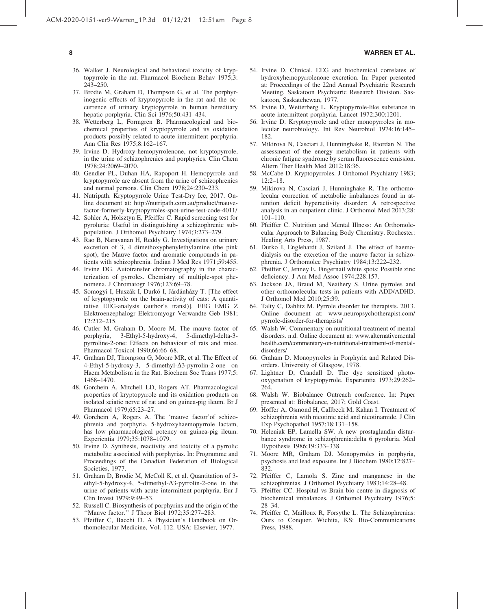#### 8 WARREN ET AL.

- 36. Walker J. Neurological and behavioral toxicity of kryptopyrrole in the rat. Pharmacol Biochem Behav 1975;3: 243–250.
- 37. Brodie M, Graham D, Thompson G, et al. The porphyrinogenic effects of kryptopyrrole in the rat and the occurrence of urinary kryptopyrrole in human hereditary hepatic porphyria. Clin Sci 1976;50:431–434.
- 38. Wetterberg L, Formgren B. Pharmacological and biochemical properties of kryptopyrrole and its oxidation products possibly related to acute intermittent porphyria. Ann Clin Res 1975;8:162–167.
- 39. Irvine D. Hydroxy-hemopyrrolenone, not kryptopyrrole, in the urine of schizophrenics and porphyrics. Clin Chem 1978;24:2069–2070.
- 40. Gendler PL, Duhan HA, Rapoport H. Hemopyrrole and kryptopyrrole are absent from the urine of schizophrenics and normal persons. Clin Chem 1978;24:230–233.
- 41. Nutripath. Kryptopyrrole Urine Test-Dry Ice, 2017. Online document at: [http://nutripath.com.au/product/mauve](http://nutripath.com.au/product/mauve-factor-formerly-kryptopyrroles-spot-urine-test-code-4011/)[factor-formerly-kryptopyrroles-spot-urine-test-code-4011/](http://nutripath.com.au/product/mauve-factor-formerly-kryptopyrroles-spot-urine-test-code-4011/)
- 42. Sohler A, Holsztyn E, Pfeiffer C. Rapid screening test for pyroluria: Useful in distinguishing a schizophrenic subpopulation. J Orthomol Psychiatry 1974;3:273–279.
- 43. Rao B, Narayanan H, Reddy G. Investigations on urinary excretion of 3, 4 dimethoxyphenylethylamine (the pink spot), the Mauve factor and aromatic compounds in patients with schizophrenia. Indian J Med Res 1971;59:455.
- 44. Irvine DG. Autotransfer chromatography in the characterization of pyrroles. Chemistry of multiple-spot phenomena. J Chromatogr 1976;123:69–78.
- 45. Somogyi I, Huszák I, Durkó I, Járdánházy T. [The effect of kryptopyrrole on the brain-activity of cats: A quantitative EEG-analysis (author's transl)]. EEG EMG Z Elektroenzephalogr Elektromyogr Verwandte Geb 1981; 12:212–215.
- 46. Cutler M, Graham D, Moore M. The mauve factor of porphyria, 3-Ethyl-5-hydroxy-4, 5-dimethyl-delta-3 pyrroline-2-one: Effects on behaviour of rats and mice. Pharmacol Toxicol 1990;66:66–68.
- 47. Graham DJ, Thompson G, Moore MR, et al. The Effect of 4-Ethyl-5-hydroxy-3, 5-dimethyl- $\Delta$ 3-pyrrolin-2-one on Haem Metabolism in the Rat. Biochem Soc Trans 1977;5: 1468–1470.
- 48. Gorchein A, Mitchell LD, Rogers AT. Pharmacological properties of kryptopyrrole and its oxidation products on isolated sciatic nerve of rat and on guinea-pig ileum. Br J Pharmacol 1979;65:23–27.
- 49. Gorchein A, Rogers A. The 'mauve factor'of schizophrenia and porphyria, 5-hydroxyhaemopyrrole lactam, has low pharmacological potency on guinea-pig ileum. Experientia 1979;35:1078–1079.
- 50. Irvine D. Synthesis, reactivity and toxicity of a pyrrolic metabolite associated with porphyrias. In: Programme and Proceedings of the Canadian Federation of Biological Societies, 1977.
- 51. Graham D, Brodie M, McColl K, et al. Quantitation of 3 ethyl-5-hydroxy-4, 5-dimethyl- $\Delta$ 3-pyrrolin-2-one in the urine of patients with acute intermittent porphyria. Eur J Clin Invest 1979;9:49–53.
- 52. Russell C. Biosynthesis of porphyrins and the origin of the ''Mauve factor.'' J Theor Biol 1972;35:277–283.
- 53. Pfeiffer C, Bacchi D. A Physician's Handbook on Orthomolecular Medicine, Vol. 112. USA: Elsevier, 1977.
- 54. Irvine D. Clinical, EEG and biochemical correlates of hydroxyhemopyrrolenone excretion. In: Paper presented at: Proceedings of the 22nd Annual Psychiatric Research Meeting, Saskatoon Psychiatric Research Division. Saskatoon, Saskatchewan, 1977.
- 55. Irvine D, Wetterberg L. Kryptopyrrole-like substance in acute intermittent porphyria. Lancet 1972;300:1201.
- 56. Irvine D. Kryptopyrrole and other monopyrroles in molecular neurobiology. Int Rev Neurobiol 1974;16:145– 182.
- 57. Mikirova N, Casciari J, Hunninghake R, Riordan N. The assessment of the energy metabolism in patients with chronic fatigue syndrome by serum fluorescence emission. Altern Ther Health Med 2012;18:36.
- 58. McCabe D. Kryptopyrroles. J Orthomol Psychiatry 1983; 12:2–18.
- 59. Mikirova N, Casciari J, Hunninghake R. The orthomolecular correction of metabolic imbalances found in attention deficit hyperactivity disorder: A retrospective analysis in an outpatient clinic. J Orthomol Med 2013;28: 101–110.
- 60. Pfeiffer C. Nutrition and Mental Illness: An Orthomolecular Approach to Balancing Body Chemistry. Rochester: Healing Arts Press, 1987.
- 61. Durko I, Englehardt J, Szilard J. The effect of haemodialysis on the excretion of the mauve factor in schizophrenia. J Orthomolec Psychiatry 1984;13:222–232.
- 62. Pfeiffer C, Jenney E. Fingernail white spots: Possible zinc deficiency. J Am Med Assoc 1974;228:157.
- 63. Jackson JA, Braud M, Neathery S. Urine pyrroles and other orthomolecular tests in patients with ADD/ADHD. J Orthomol Med 2010;25:39.
- 64. Talty C, Dahlitz M. Pyrrole disorder for therapists. 2013. Online document at: [www.neuropsychotherapist.com/](http://www.neuropsychotherapist.com/pyrrole-disorder-for-therapists/) [pyrrole-disorder-for-therapists/](http://www.neuropsychotherapist.com/pyrrole-disorder-for-therapists/)
- 65. Walsh W. Commentary on nutritional treatment of mental disorders. n.d. Online document at: [www.alternativemental](http://www.alternativementalhealth.com/commentary-on-nutritional-treatment-of-mental-disorders/) [health.com/commentary-on-nutritional-treatment-of-mental](http://www.alternativementalhealth.com/commentary-on-nutritional-treatment-of-mental-disorders/)[disorders/](http://www.alternativementalhealth.com/commentary-on-nutritional-treatment-of-mental-disorders/)
- 66. Graham D. Monopyrroles in Porphyria and Related Disorders. University of Glasgow, 1978.
- 67. Lightner D, Crandall D. The dye sensitized photooxygenation of kryptopyrrole. Experientia 1973;29:262– 264.
- 68. Walsh W. Biobalance Outreach conference. In: Paper presented at: Biobalance, 2017; Gold Coast.
- 69. Hoffer A, Osmond H, Callbeck M, Kahan I. Treatment of schizophrenia with nicotinic acid and nicotinamide. J Clin Exp Psychopathol 1957;18:131–158.
- 70. Heleniak EP, Lamella SW. A new prostaglandin disturbance syndrome in schizophrenia:delta 6 pyroluria. Med Hypothesis 1986;19:333–338.
- 71. Moore MR, Graham DJ. Monopyrroles in porphyria, psychosis and lead exposure. Int J Biochem 1980;12:827– 832.
- 72. Pfeiffer C, Lamola S. Zinc and manganese in the schizophrenias. J Orthomol Psychiatry 1983;14:28–48.
- 73. Pfeiffer CC. Hospital vs Brain bio centre in diagnosis of biochemical imbalances. J Orthomol Psychiatry 1976;5: 28–34.
- 74. Pfeiffer C, Mailloux R, Forsythe L. The Schizophrenias: Ours to Conquer. Wichita, KS: Bio-Communications Press, 1988.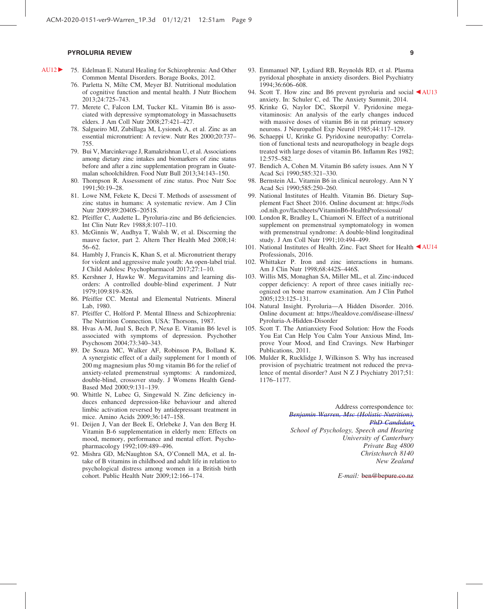- AU12 <sup>75</sup>. Edelman E. Natural Healing for Schizophrenia: And Other Common Mental Disorders. Borage Books, 2012.
	- 76. Parletta N, Milte CM, Meyer BJ. Nutritional modulation of cognitive function and mental health. J Nutr Biochem 2013;24:725–743.
	- 77. Merete C, Falcon LM, Tucker KL. Vitamin B6 is associated with depressive symptomatology in Massachusetts elders. J Am Coll Nutr 2008;27:421–427.
	- 78. Salgueiro MJ, Zubillaga M, Lysionek A, et al. Zinc as an essential micronutrient: A review. Nutr Res 2000;20:737– 755.
	- 79. Bui V, Marcinkevage J, Ramakrishnan U, et al. Associations among dietary zinc intakes and biomarkers of zinc status before and after a zinc supplementation program in Guatemalan schoolchildren. Food Nutr Bull 2013;34:143–150.
	- 80. Thompson R. Assessment of zinc status. Proc Nutr Soc 1991;50:19–28.
	- 81. Lowe NM, Fekete K, Decsi T. Methods of assessment of zinc status in humans: A systematic review. Am J Clin Nutr 2009;89:2040S–2051S.
	- 82. Pfeiffer C, Audette L. Pyroluria-zinc and B6 deficiencies. Int Clin Nutr Rev 1988;8:107–110.
	- 83. McGinnis W, Audhya T, Walsh W, et al. Discerning the mauve factor, part 2. Altern Ther Health Med 2008;14: 56–62.
	- 84. Hambly J, Francis K, Khan S, et al. Micronutrient therapy for violent and aggressive male youth: An open-label trial. J Child Adolesc Psychopharmacol 2017;27:1–10.
	- 85. Kershner J, Hawke W. Megavitamins and learning disorders: A controlled double-blind experiment. J Nutr 1979;109:819–826.
	- 86. Pfeiffer CC. Mental and Elemental Nutrients. Mineral Lab, 1980.
	- 87. Pfeiffer C, Holford P. Mental Illness and Schizophrenia: The Nutrition Connection. USA: Thorsons, 1987.
	- 88. Hvas A-M, Juul S, Bech P, Nexø E. Vitamin B6 level is associated with symptoms of depression. Psychother Psychosom 2004;73:340–343.
	- 89. De Souza MC, Walker AF, Robinson PA, Bolland K. A synergistic effect of a daily supplement for 1 month of 200 mg magnesium plus 50 mg vitamin B6 for the relief of anxiety-related premenstrual symptoms: A randomized, double-blind, crossover study. J Womens Health Gend-Based Med 2000;9:131–139.
	- 90. Whittle N, Lubec G, Singewald N. Zinc deficiency induces enhanced depression-like behaviour and altered limbic activation reversed by antidepressant treatment in mice. Amino Acids 2009;36:147–158.
	- 91. Deijen J, Van der Beek E, Orlebeke J, Van den Berg H. Vitamin B-6 supplementation in elderly men: Effects on mood, memory, performance and mental effort. Psychopharmacology 1992;109:489–496.
	- 92. Mishra GD, McNaughton SA, O'Connell MA, et al. Intake of B vitamins in childhood and adult life in relation to psychological distress among women in a British birth cohort. Public Health Nutr 2009;12:166–174.
- 93. Emmanuel NP, Lydiard RB, Reynolds RD, et al. Plasma pyridoxal phosphate in anxiety disorders. Biol Psychiatry 1994;36:606–608.
- 94. Scott T. How zinc and B6 prevent pyroluria and social  $\triangle$  AU13 anxiety. In: Schuler C, ed. The Anxiety Summit, 2014.
- 95. Krinke G, Naylor DC, Skorpil V. Pyridoxine megavitaminosis: An analysis of the early changes induced with massive doses of vitamin B6 in rat primary sensory neurons. J Neuropathol Exp Neurol 1985;44:117–129.
- 96. Schaeppi U, Krinke G. Pyridoxine neuropathy: Correlation of functional tests and neuropathology in beagle dogs treated with large doses of vitamin B6. Inflamm Res 1982; 12:575–582.
- 97. Bendich A, Cohen M. Vitamin B6 safety issues. Ann N Y Acad Sci 1990;585:321–330.
- 98. Bernstein AL. Vitamin B6 in clinical neurology. Ann N Y Acad Sci 1990;585:250–260.
- 99. National Institutes of Health. Vitamin B6. Dietary Supplement Fact Sheet 2016. Online document at: [https://ods](https://ods.od.nih.gov/factsheets/VitaminB6-HealthProfessional/) [.od.nih.gov/factsheets/VitaminB6-HealthProfessional/](https://ods.od.nih.gov/factsheets/VitaminB6-HealthProfessional/)
- 100. London R, Bradley L, Chiamori N. Effect of a nutritional supplement on premenstrual symptomatology in women with premenstrual syndrome: A double-blind longitudinal study. J Am Coll Nutr 1991;10:494–499.
- 101. National Institutes of Health. Zinc. Fact Sheet for Health <a>AU14</a> Professionals, 2016.
- 102. Whittaker P. Iron and zinc interactions in humans. Am J Clin Nutr 1998;68:442S–446S.
- 103. Willis MS, Monaghan SA, Miller ML, et al. Zinc-induced copper deficiency: A report of three cases initially recognized on bone marrow examination. Am J Clin Pathol 2005;123:125–131.
- 104. Natural Insight. Pyroluria—A Hidden Disorder. 2016. Online document at: [https://healdove.com/disease-illness/](https://healdove.com/disease-illness/Pyroluria-A-Hidden-Disorder) [Pyroluria-A-Hidden-Disorder](https://healdove.com/disease-illness/Pyroluria-A-Hidden-Disorder)
- 105. Scott T. The Antianxiety Food Solution: How the Foods You Eat Can Help You Calm Your Anxious Mind, Improve Your Mood, and End Cravings. New Harbinger Publications, 2011.
- 106. Mulder R, Rucklidge J, Wilkinson S. Why has increased provision of psychiatric treatment not reduced the prevalence of mental disorder? Aust N Z J Psychiatry 2017;51: 1176–1177.

Address correspondence to: *Benjamin Warren, Msc (Holistic Nutrition), PhD Candidate School of Psychology, Speech and Hearing University of Canterbury Private Bag 4800 Christchurch 8140 New Zealand*

*E-mail:* ben@bepure.co.nz